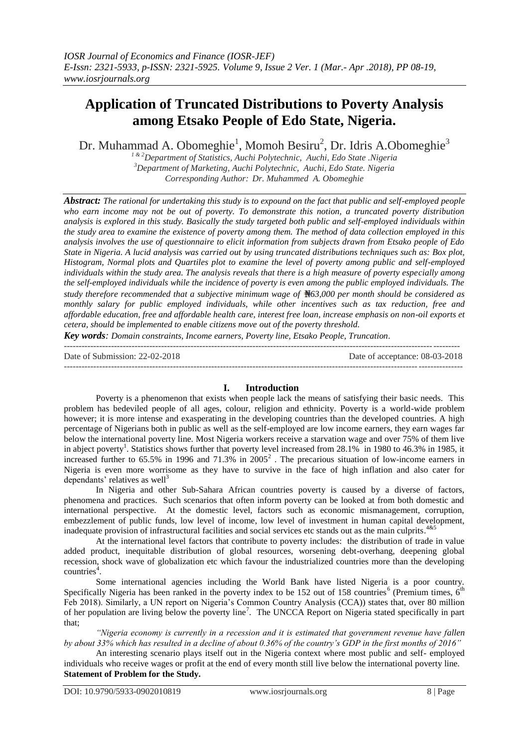# **Application of Truncated Distributions to Poverty Analysis among Etsako People of Edo State, Nigeria.**

Dr. Muhammad A. Obomeghie<sup>1</sup>, Momoh Besiru<sup>2</sup>, Dr. Idris A.Obomeghie<sup>3</sup>

*1 & 2Department of Statistics, Auchi Polytechnic, Auchi, Edo State .Nigeria <sup>3</sup>Department of Marketing, Auchi Polytechnic, Auchi, Edo State. Nigeria Corresponding Author: Dr. Muhammed A. Obomeghie*

*Abstract: The rational for undertaking this study is to expound on the fact that public and self-employed people who earn income may not be out of poverty. To demonstrate this notion, a truncated poverty distribution analysis is explored in this study. Basically the study targeted both public and self-employed individuals within the study area to examine the existence of poverty among them. The method of data collection employed in this analysis involves the use of questionnaire to elicit information from subjects drawn from Etsako people of Edo State in Nigeria. A lucid analysis was carried out by using truncated distributions techniques such as: Box plot, Histogram, Normal plots and Quartiles plot to examine the level of poverty among public and self-employed individuals within the study area. The analysis reveals that there is a high measure of poverty especially among the self-employed individuals while the incidence of poverty is even among the public employed individuals. The study therefore recommended that a subjective minimum wage of 63,000 per month should be considered as monthly salary for public employed individuals, while other incentives such as tax reduction, free and affordable education, free and affordable health care, interest free loan, increase emphasis on non-oil exports et cetera, should be implemented to enable citizens move out of the poverty threshold.*

*Key words: Domain constraints, Income earners, Poverty line, Etsako People, Truncation.* 

--------------------------------------------------------------------------------------------------------------------------------------

Date of Submission: 22-02-2018 Date of acceptance: 08-03-2018 ---------------------------------------------------------------------------------------------------------------------------------------

# **I. Introduction**

Poverty is a phenomenon that exists when people lack the means of satisfying their basic needs. This problem has bedeviled people of all ages, colour, religion and ethnicity. Poverty is a world-wide problem however; it is more intense and exasperating in the developing countries than the developed countries. A high percentage of Nigerians both in public as well as the self-employed are low income earners, they earn wages far below the international poverty line. Most Nigeria workers receive a starvation wage and over 75% of them live in abject poverty<sup>1</sup>. Statistics shows further that poverty level increased from 28.1% in 1980 to 46.3% in 1985, it increased further to 65.5% in 1996 and 71.3% in  $2005^2$ . The precarious situation of low-income earners in Nigeria is even more worrisome as they have to survive in the face of high inflation and also cater for dependants' relatives as well $3$ 

In Nigeria and other Sub-Sahara African countries poverty is caused by a diverse of factors, phenomena and practices. Such scenarios that often inform poverty can be looked at from both domestic and international perspective. At the domestic level, factors such as economic mismanagement, corruption, embezzlement of public funds, low level of income, low level of investment in human capital development, inadequate provision of infrastructural facilities and social services etc stands out as the main culprits.<sup>4&5</sup>

At the international level factors that contribute to poverty includes: the distribution of trade in value added product, inequitable distribution of global resources, worsening debt-overhang, deepening global recession, shock wave of globalization etc which favour the industrialized countries more than the developing countries<sup>4</sup>.

Some international agencies including the World Bank have listed Nigeria is a poor country. Specifically Nigeria has been ranked in the poverty index to be 152 out of 158 countries<sup>6</sup> (Premium times,  $6<sup>th</sup>$ Feb 2018). Similarly, a UN report on Nigeria's Common Country Analysis (CCA)) states that, over 80 million of her population are living below the poverty line<sup>7</sup>. The UNCCA Report on Nigeria stated specifically in part that;

*"Nigeria economy is currently in a recession and it is estimated that government revenue have fallen by about 33% which has resulted in a decline of about 0.36% of the country's GDP in the first months of 2016"*

An interesting scenario plays itself out in the Nigeria context where most public and self- employed individuals who receive wages or profit at the end of every month still live below the international poverty line. **Statement of Problem for the Study.**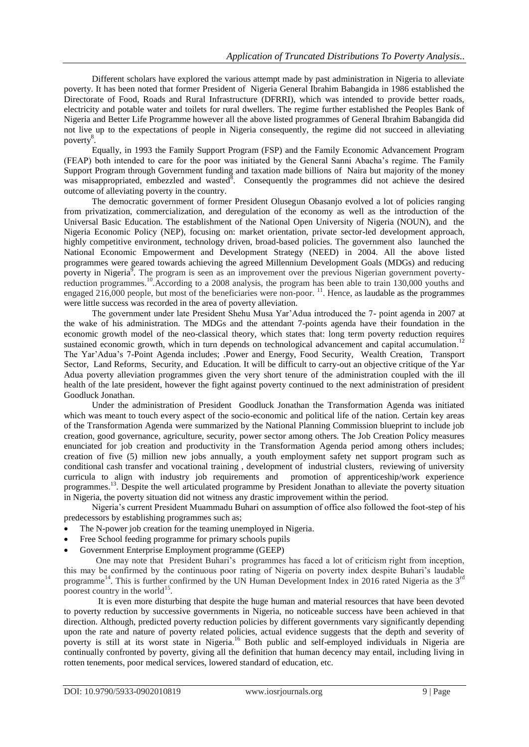Different scholars have explored the various attempt made by past administration in Nigeria to alleviate poverty. It has been noted that former President of Nigeria General Ibrahim Babangida in 1986 established the Directorate of Food, Roads and Rural Infrastructure (DFRRI), which was intended to provide better roads, electricity and potable water and toilets for rural dwellers. The regime further established the Peoples Bank of Nigeria and Better Life Programme however all the above listed programmes of General Ibrahim Babangida did not live up to the expectations of people in Nigeria consequently, the regime did not succeed in alleviating poverty<sup>8</sup>.

Equally, in 1993 the Family Support Program (FSP) and the Family Economic Advancement Program (FEAP) both intended to care for the poor was initiated by the General Sanni Abacha"s regime. The Family Support Program through Government funding and taxation made billions of Naira but majority of the money was misappropriated, embezzled and wasted<sup>8</sup>. Consequently the programmes did not achieve the desired outcome of alleviating poverty in the country.

The democratic government of former President Olusegun Obasanjo evolved a lot of policies ranging from privatization, commercialization, and deregulation of the economy as well as the introduction of the Universal Basic Education. The establishment of the National Open University of Nigeria (NOUN), and the Nigeria Economic Policy (NEP), focusing on: market orientation, private sector-led development approach, highly competitive environment, technology driven, broad-based policies. The government also launched the National Economic Empowerment and Development Strategy (NEED) in 2004. All the above listed programmes were geared towards achieving the agreed Millennium Development Goals (MDGs) and reducing poverty in Nigeria<sup>9</sup>. The program is seen as an improvement over the previous Nigerian government povertyreduction programmes.<sup>10</sup>.According to a 2008 analysis, the program has been able to train 130,000 youths and engaged 216,000 people, but most of the beneficiaries were non-poor. <sup>11</sup>. Hence, as laudable as the programmes were little success was recorded in the area of poverty alleviation.

The government under late President Shehu Musa Yar"Adua introduced the 7- point agenda in 2007 at the wake of his administration. The MDGs and the attendant 7-points agenda have their foundation in the economic growth model of the neo-classical theory, which states that: long term poverty reduction requires sustained economic growth, which in turn depends on technological advancement and capital accumulation.<sup>12</sup> The Yar"Adua"s 7-Point Agenda includes; *.*Power and Energy, Food Security, Wealth Creation, Transport Sector, Land Reforms, Security, and Education*.* It will be difficult to carry-out an objective critique of the Yar Adua poverty alleviation programmes given the very short tenure of the administration coupled with the ill health of the late president, however the fight against poverty continued to the next administration of president Goodluck Jonathan.

Under the administration of President Goodluck Jonathan the Transformation Agenda was initiated which was meant to touch every aspect of the socio-economic and political life of the nation. Certain key areas of the Transformation Agenda were summarized by the National Planning Commission blueprint to include job creation, good governance, agriculture, security, power sector among others. The Job Creation Policy measures enunciated for job creation and productivity in the Transformation Agenda period among others includes; creation of five (5) million new jobs annually, a youth employment safety net support program such as conditional cash transfer and vocational training , development of industrial clusters, reviewing of university curricula to align with industry job requirements and promotion of apprenticeship/work experience programmes.<sup>13</sup>. Despite the well articulated programme by President Jonathan to alleviate the poverty situation in Nigeria, the poverty situation did not witness any drastic improvement within the period.

Nigeria"s current President Muammadu Buhari on assumption of office also followed the foot-step of his predecessors by establishing programmes such as;

- The N-power job creation for the teaming unemployed in Nigeria.
- Free School feeding programme for primary schools pupils
- Government Enterprise Employment programme (GEEP)

One may note that President Buhari"s programmes has faced a lot of criticism right from inception, this may be confirmed by the continuous poor rating of Nigeria on poverty index despite Buhari"s laudable programme<sup>14</sup>. This is further confirmed by the UN Human Development Index in 2016 rated Nigeria as the 3<sup>rd</sup> poorest country in the world<sup>15</sup>.

It is even more disturbing that despite the huge human and material resources that have been devoted to poverty reduction by successive governments in Nigeria, no noticeable success have been achieved in that direction. Although, predicted poverty reduction policies by different governments vary significantly depending upon the rate and nature of poverty related policies, actual evidence suggests that the depth and severity of poverty is still at its worst state in Nigeria.<sup>16</sup> Both public and self-employed individuals in Nigeria are continually confronted by poverty, giving all the definition that human decency may entail, including living in rotten tenements, poor medical services, lowered standard of education, etc.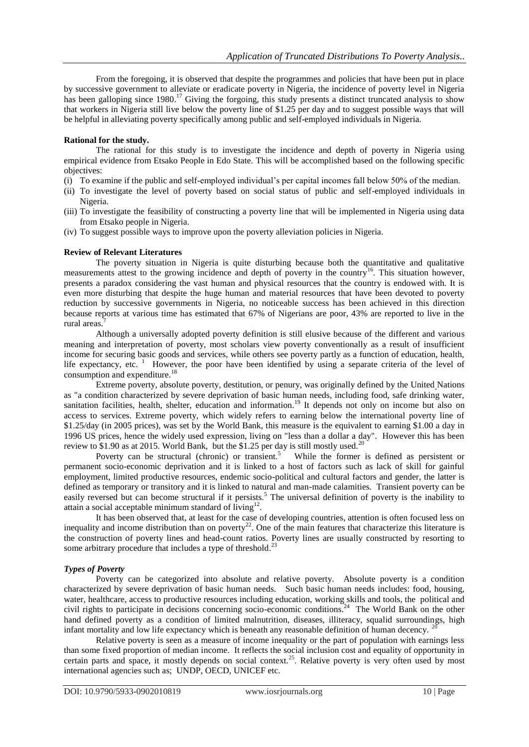From the foregoing, it is observed that despite the programmes and policies that have been put in place by successive government to alleviate or eradicate poverty in Nigeria, the incidence of poverty level in Nigeria has been galloping since 1980.<sup>17</sup> Giving the forgoing, this study presents a distinct truncated analysis to show that workers in Nigeria still live below the poverty line of \$1.25 per day and to suggest possible ways that will be helpful in alleviating poverty specifically among public and self-employed individuals in Nigeria.

# **Rational for the study.**

The rational for this study is to investigate the incidence and depth of poverty in Nigeria using empirical evidence from Etsako People in Edo State. This will be accomplished based on the following specific objectives:

- (i) To examine if the public and self-employed individual"s per capital incomes fall below 50% of the median.
- (ii) To investigate the level of poverty based on social status of public and self-employed individuals in Nigeria.
- (iii) To investigate the feasibility of constructing a poverty line that will be implemented in Nigeria using data from Etsako people in Nigeria.
- (iv) To suggest possible ways to improve upon the poverty alleviation policies in Nigeria.

## **Review of Relevant Literatures**

The poverty situation in Nigeria is quite disturbing because both the quantitative and qualitative measurements attest to the growing incidence and depth of poverty in the country<sup>16</sup>. This situation however, presents a paradox considering the vast human and physical resources that the country is endowed with. It is even more disturbing that despite the huge human and material resources that have been devoted to poverty reduction by successive governments in Nigeria, no noticeable success has been achieved in this direction because reports at various time has estimated that 67% of Nigerians are poor, 43% are reported to live in the rural areas.<sup>7</sup>

Although a universally adopted poverty definition is still elusive because of the different and various meaning and interpretation of poverty, most scholars view poverty conventionally as a result of insufficient income for securing basic goods and services, while others see poverty partly as a function of education, health, life expectancy, etc.<sup>1</sup> However, the poor have been identified by using a separate criteria of the level of consumption and expenditure.<sup>18</sup>

Extreme poverty, absolute poverty, destitution, or penury, was originally defined by the United [Nations](https://en.wikipedia.org/wiki/United_Nations) as "a condition characterized by severe deprivation of basic human needs, including food, safe drinking water, sanitation facilities, health, shelter, education and information.<sup>19</sup> It depends not only on income but also on access to services. Extreme poverty, which widely refers to earning below the international poverty line of \$1.25/day (in 2005 prices), was set by the [World Bank,](https://en.wikipedia.org/wiki/World_Bank) this measure is the equivalent to earning \$1.00 a day in 1996 US prices, hence the widely used expression, living on "less than a dollar a day". However this has been review to \$1.90 as at 2015. World Bank, but the \$1.25 per day is still mostly used.<sup>20</sup>

Poverty can be structural (chronic) or transient.<sup>5</sup> While the former is defined as persistent or permanent socio-economic deprivation and it is linked to a host of factors such as lack of skill for gainful employment, limited productive resources, endemic socio-political and cultural factors and gender, the latter is defined as temporary or transitory and it is linked to natural and man-made calamities. Transient poverty can be easily reversed but can become structural if it persists.<sup>5</sup> The universal definition of poverty is the inability to attain a social acceptable minimum standard of  $\text{Iiving}^{12}$ .

It has been observed that, at least for the case of developing countries, attention is often focused less on inequality and income distribution than on poverty<sup>22</sup>. One of the main features that characterize this literature is the construction of poverty lines and head-count ratios. Poverty lines are usually constructed by resorting to some arbitrary procedure that includes a type of threshold.<sup>23</sup>

## *Types of Poverty*

Poverty can be categorized into absolute and relative poverty. Absolute poverty is a condition characterized by severe deprivation of basic human needs. Such basic human needs includes: food, housing, water, healthcare, access to productive resources including education, working skills and tools, the political and civil rights to participate in decisions concerning socio-economic conditions.<sup>24</sup> The World Bank on the other hand defined poverty as a condition of limited malnutrition, diseases, illiteracy, squalid surroundings, high infant mortality and low life expectancy which is beneath any reasonable definition of human decency.

Relative poverty is seen as a measure of income inequality or the part of population with earnings less than some fixed proportion of median income. It reflects the social inclusion cost and equality of opportunity in certain parts and space, it mostly depends on social context.<sup>25</sup>. Relative poverty is very often used by most international agencies such as; UNDP, OECD, UNICEF etc.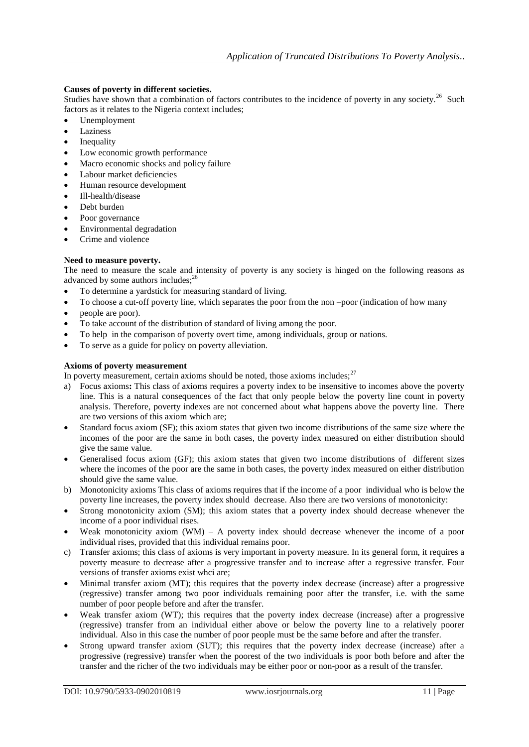# **Causes of poverty in different societies.**

Studies have shown that a combination of factors contributes to the incidence of poverty in any society.<sup>26</sup> Such factors as it relates to the Nigeria context includes;

- Unemployment
- Laziness
- Inequality
- Low economic growth performance
- Macro economic shocks and policy failure
- Labour market deficiencies
- Human resource development
- Ill-health/disease
- Debt burden
- Poor governance
- Environmental degradation
- Crime and violence

# **Need to measure poverty.**

The need to measure the scale and intensity of poverty is any society is hinged on the following reasons as advanced by some authors includes;<sup>26</sup>

- To determine a yardstick for measuring standard of living.
- To choose a cut-off poverty line, which separates the poor from the non –poor (indication of how many
- people are poor).
- To take account of the distribution of standard of living among the poor.
- To help in the comparison of poverty overt time, among individuals, group or nations.
- To serve as a guide for policy on poverty alleviation.

# **Axioms of poverty measurement**

In poverty measurement, certain axioms should be noted, those axioms includes;  $27$ 

- a) Focus axioms**:** This class of axioms requires a poverty index to be insensitive to incomes above the poverty line. This is a natural consequences of the fact that only people below the poverty line count in poverty analysis. Therefore, poverty indexes are not concerned about what happens above the poverty line. There are two versions of this axiom which are;
- Standard focus axiom (SF); this axiom states that given two income distributions of the same size where the incomes of the poor are the same in both cases, the poverty index measured on either distribution should give the same value.
- Generalised focus axiom (GF); this axiom states that given two income distributions of different sizes where the incomes of the poor are the same in both cases, the poverty index measured on either distribution should give the same value.
- b) Monotonicity axioms This class of axioms requires that if the income of a poor individual who is below the poverty line increases, the poverty index should decrease. Also there are two versions of monotonicity:
- Strong monotonicity axiom (SM); this axiom states that a poverty index should decrease whenever the income of a poor individual rises.
- Weak monotonicity axiom  $(WM) A$  poverty index should decrease whenever the income of a poor individual rises, provided that this individual remains poor.
- c) Transfer axioms; this class of axioms is very important in poverty measure. In its general form, it requires a poverty measure to decrease after a progressive transfer and to increase after a regressive transfer. Four versions of transfer axioms exist whci are;
- Minimal transfer axiom (MT); this requires that the poverty index decrease (increase) after a progressive (regressive) transfer among two poor individuals remaining poor after the transfer, i.e. with the same number of poor people before and after the transfer.
- Weak transfer axiom (WT); this requires that the poverty index decrease (increase) after a progressive (regressive) transfer from an individual either above or below the poverty line to a relatively poorer individual. Also in this case the number of poor people must be the same before and after the transfer.
- Strong upward transfer axiom (SUT); this requires that the poverty index decrease (increase) after a progressive (regressive) transfer when the poorest of the two individuals is poor both before and after the transfer and the richer of the two individuals may be either poor or non-poor as a result of the transfer.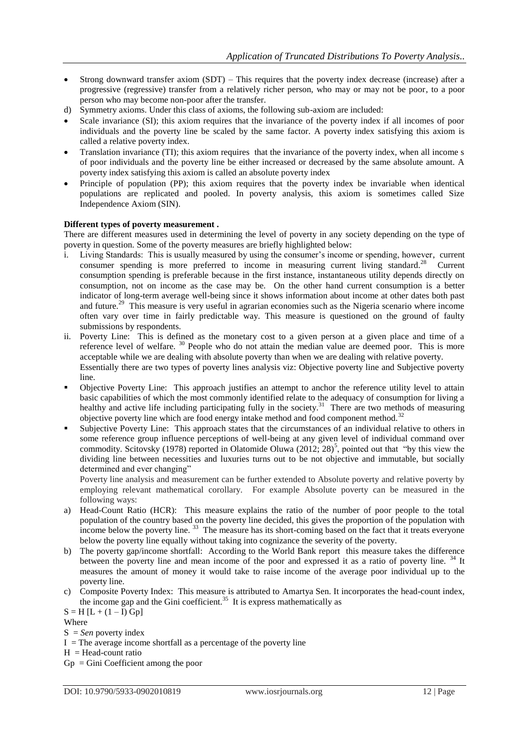- Strong downward transfer axiom (SDT) This requires that the poverty index decrease (increase) after a progressive (regressive) transfer from a relatively richer person, who may or may not be poor, to a poor person who may become non-poor after the transfer.
- d) Symmetry axioms. Under this class of axioms, the following sub-axiom are included:
- Scale invariance (SI); this axiom requires that the invariance of the poverty index if all incomes of poor individuals and the poverty line be scaled by the same factor. A poverty index satisfying this axiom is called a relative poverty index.
- Translation invariance (TI); this axiom requires that the invariance of the poverty index, when all income s of poor individuals and the poverty line be either increased or decreased by the same absolute amount. A poverty index satisfying this axiom is called an absolute poverty index
- Principle of population (PP); this axiom requires that the poverty index be invariable when identical populations are replicated and pooled. In poverty analysis, this axiom is sometimes called Size Independence Axiom (SIN).

# **Different types of poverty measurement .**

There are different measures used in determining the level of poverty in any society depending on the type of poverty in question. Some of the poverty measures are briefly highlighted below:

- i. Living Standards: This is usually measured by using the consumer"s income or spending, however, current consumer spending is more preferred to income in measuring current living standard.<sup>28</sup> Current consumption spending is preferable because in the first instance, instantaneous utility depends directly on consumption, not on income as the case may be. On the other hand current consumption is a better indicator of long-term average well-being since it shows information about income at other dates both past and future.<sup>29</sup> This measure is very useful in agrarian economies such as the Nigeria scenario where income often vary over time in fairly predictable way. This measure is questioned on the ground of faulty submissions by respondents.
- ii. Poverty Line: This is defined as the monetary cost to a given person at a given place and time of a reference level of welfare. <sup>30</sup> People who do not attain the median value are deemed poor. This is more acceptable while we are dealing with absolute poverty than when we are dealing with relative poverty. Essentially there are two types of poverty lines analysis viz: Objective poverty line and Subjective poverty line.
- Objective Poverty Line: This approach justifies an attempt to anchor the reference utility level to attain basic capabilities of which the most commonly identified relate to the adequacy of consumption for living a healthy and active life including participating fully in the society.<sup>31</sup> There are two methods of measuring objective poverty line which are food energy intake method and food component method.<sup>32</sup>
- Subjective Poverty Line: This approach states that the circumstances of an individual relative to others in some reference group influence perceptions of well-being at any given level of individual command over commodity. Scitovsky (1978) reported in Olatomide Oluwa (2012; 28)<sup>5</sup>, pointed out that "by this view the dividing line between necessities and luxuries turns out to be not objective and immutable, but socially determined and ever changing"

Poverty line analysis and measurement can be further extended to Absolute poverty and relative poverty by employing relevant mathematical corollary. For example Absolute poverty can be measured in the following ways:

- a) Head-Count Ratio (HCR): This measure explains the ratio of the number of poor people to the total population of the country based on the poverty line decided, this gives the proportion of the population with income below the poverty line.<sup>33</sup> The measure has its short-coming based on the fact that it treats everyone below the poverty line equally without taking into cognizance the severity of the poverty.
- b) The poverty gap/income shortfall: According to the World Bank report this measure takes the difference between the poverty line and mean income of the poor and expressed it as a ratio of poverty line. <sup>34</sup> It measures the amount of money it would take to raise income of the average poor individual up to the poverty line.
- c) Composite Poverty Index: This measure is attributed to Amartya Sen. It incorporates the head-count index, the income gap and the Gini coefficient.<sup>35</sup> It is express mathematically as

 $S = H [L + (1 - I) Gp]$ Where

 $S = Sen$  poverty index

 $I =$ The average income shortfall as a percentage of the poverty line

 $H = Head$ -count ratio

Gp = Gini Coefficient among the poor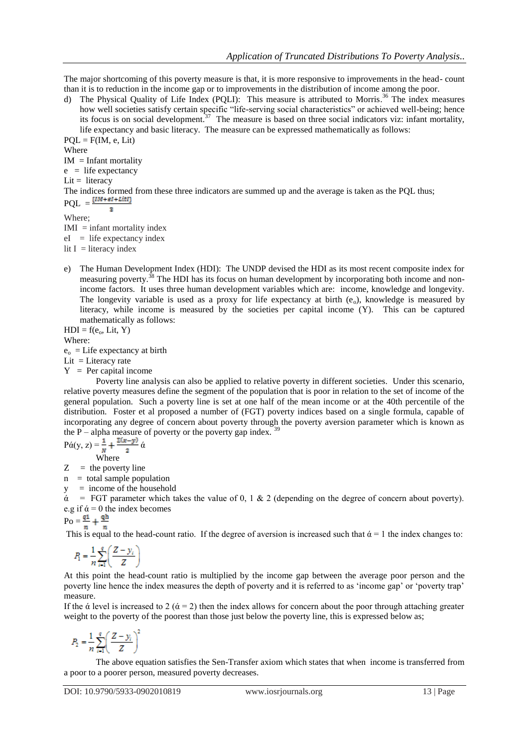The major shortcoming of this poverty measure is that, it is more responsive to improvements in the head- count than it is to reduction in the income gap or to improvements in the distribution of income among the poor.

d) The Physical Quality of Life Index (PQLI): This measure is attributed to Morris. <sup>36</sup> The index measures how well societies satisfy certain specific "life-serving social characteristics" or achieved well-being; hence its focus is on social development.<sup>37</sup> The measure is based on three social indicators viz: infant mortality, life expectancy and basic literacy. The measure can be expressed mathematically as follows:

 $POL = F(IM, e, Lit)$ Where  $IM = Infant$  mortality  $e$  = life expectancy  $Lit = literacy$ The indices formed from these three indicators are summed up and the average is taken as the PQL thus;  $PQL = \frac{\{IM + el + Litr\}}{}$  $\mathbf{z}$ Where;

 $IMI = \text{infant mortality index}$ 

 $eI =$  life expectancy index

lit  $I =$  literacy index

e) The Human Development Index (HDI): The UNDP devised the HDI as its most recent composite index for measuring poverty.<sup>38</sup> The HDI has its focus on human development by incorporating both income and nonincome factors. It uses three human development variables which are: income, knowledge and longevity. The longevity variable is used as a proxy for life expectancy at birth  $(e_0)$ , knowledge is measured by literacy, while income is measured by the societies per capital income (Y). This can be captured mathematically as follows:

 $HDI = f(e_0, Lit, Y)$ Where:

 $e_0 =$ Life expectancy at birth

Lit = Literacy rate

 $Y = Per$  capital income

Poverty line analysis can also be applied to relative poverty in different societies. Under this scenario, relative poverty measures define the segment of the population that is poor in relation to the set of income of the general population. Such a poverty line is set at one half of the mean income or at the 40th percentile of the distribution. Foster et al proposed a number of (FGT) poverty indices based on a single formula, capable of incorporating any degree of concern about poverty through the poverty aversion parameter which is known as the P – alpha measure of poverty or the poverty gap index.  $39$ 

$$
P\acute{\alpha}(y, z) = \frac{1}{N} + \frac{\Sigma(x - y)}{2} \acute{\alpha}
$$
  
Where

 $Z =$  the poverty line

 $n =$  total sample population

y = income of the household

 $\dot{\alpha}$  = FGT parameter which takes the value of 0, 1 & 2 (depending on the degree of concern about poverty). e.g if  $\acute{\alpha} = 0$  the index becomes

$$
P_O = \frac{q_1}{n_1} + \frac{q_1}{n_2}
$$

This is equal to the head-count ratio. If the degree of aversion is increased such that  $\dot{\alpha} = 1$  the index changes to:

$$
P_1 = \frac{1}{n} \sum_{i=1}^{q} \left( \frac{Z - y_i}{Z} \right)
$$

At this point the head-count ratio is multiplied by the income gap between the average poor person and the poverty line hence the index measures the depth of poverty and it is referred to as "income gap" or "poverty trap" measure.

If the  $\alpha$  level is increased to 2 ( $\alpha$  = 2) then the index allows for concern about the poor through attaching greater weight to the poverty of the poorest than those just below the poverty line, this is expressed below as;

$$
P_2 = \frac{1}{n} \sum_{i=1}^q \left(\frac{Z - y_i}{Z}\right)^2
$$

The above equation satisfies the Sen-Transfer axiom which states that when income is transferred from a poor to a poorer person, measured poverty decreases.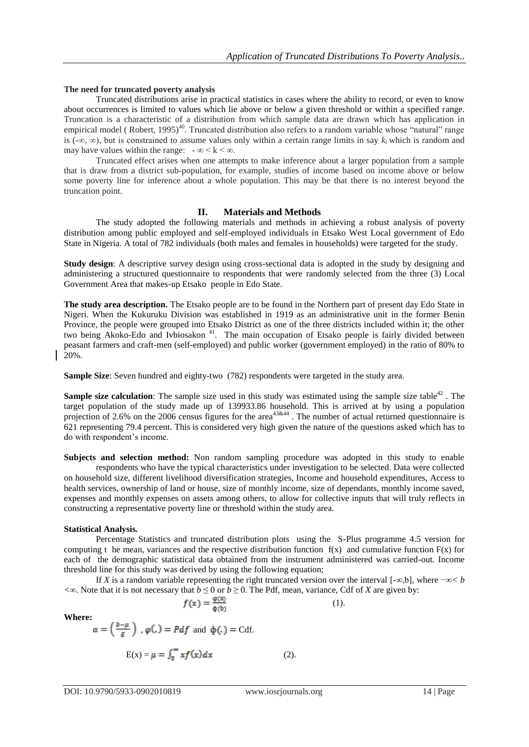#### **The need for truncated poverty analysis**

Truncated distributions arise in practical statistics in cases where the ability to record, or even to know about occurrences is limited to values which lie above or below a given threshold or within a specified range. Truncation is a characteristic of a distribution from which sample data are drawn which has application in empirical model (Robert, 1995)<sup>40</sup>. Truncated distribution also refers to a random variable whose "natural" range is (-∞, ∞), but is constrained to assume values only within a certain range limits in say  $k_i$  which is random and may have values within the range:  $-\infty < k < \infty$ .

Truncated effect arises when one attempts to make inference about a larger population from a sample that is draw from a district sub-population, for example, studies of income based on income above or below some poverty line for inference about a whole population. This may be that there is no interest beyond the truncation point.

## **II. Materials and Methods**

The study adopted the following materials and methods in achieving a robust analysis of poverty distribution among public employed and self-employed individuals in Etsako West Local government of Edo State in Nigeria. A total of 782 individuals (both males and females in households) were targeted for the study.

**Study design:** A descriptive survey design using cross-sectional data is adopted in the study by designing and administering a structured questionnaire to respondents that were randomly selected from the three (3) Local Government Area that makes-up Etsako people in Edo State.

**The study area description.** The Etsako people are to be found in the Northern part of present day Edo State in Nigeri. When the Kukuruku Division was established in 1919 as an administrative unit in the former Benin Province, the people were grouped into Etsako District as one of the three districts included within it; the other two being [Akoko-Edo](http://www.afemaipeople.com/akoko-edo-local-government-edo-state/) and Ivbiosakon<sup>41</sup>. The main occupation of Etsako people is fairly divided between peasant farmers and craft-men (self-employed) and public worker (government employed) in the ratio of 80% to 20%.

**Sample Size**: Seven hundred and eighty-two (782) respondents were targeted in the study area.

**Sample size calculation**: The sample size used in this study was estimated using the sample size table<sup>42</sup>. The target population of the study made up of 139933.86 household. This is arrived at by using a population projection of 2.6% on the 2006 census figures for the area<sup>43&44</sup>. The number of actual returned questionnaire is 621 representing 79.4 percent. This is considered very high given the nature of the questions asked which has to do with respondent"s income.

**Subjects and selection method:** Non random sampling procedure was adopted in this study to enable respondents who have the typical characteristics under investigation to be selected. Data were collected on household size, different livelihood diversification strategies, Income and household expenditures, Access to health services, ownership of land or house, size of monthly income, size of dependants, monthly income saved, expenses and monthly expenses on assets among others, to allow for collective inputs that will truly reflects in constructing a representative poverty line or threshold within the study area.

## **Statistical Analysis***.*

Percentage Statistics and truncated distribution plots using the S-Plus programme 4.5 version for computing t he mean, variances and the respective distribution function  $f(x)$  and cumulative function  $F(x)$  for each of the demographic statistical data obtained from the instrument administered was carried-out. Income threshold line for this study was derived by using the following equation;

If *X* is a random variable representing the right truncated version over the interval [*-*∞,b], where −∞*< b*   $\langle \infty$ . Note that it is not necessary that *b* ≤ 0 or *b* ≥ 0. The Pdf, mean, variance, Cdf of *X* are given by:<br> $f(x) = \frac{\varphi(x)}{\varphi(b)}$  (1).

$$
\tag{1}.
$$

**Where:** 

$$
\alpha = \left(\frac{b-\mu}{\delta}\right), \varphi(.) = Pdf \text{ and } \varphi(.) = \text{Cdf.}
$$

$$
E(x) = \mu = \int_0^\infty x f(x) dx \tag{2}.
$$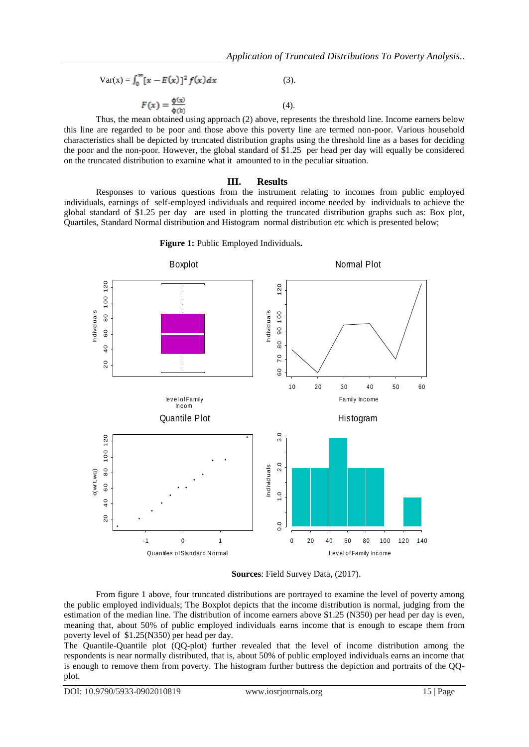$$
Var(x) = \int_0^\infty [x - E(x)]^2 f(x) dx
$$
 (3).

$$
F(x) = \frac{\Phi(x)}{\Phi(b)}\tag{4}
$$

Thus, the mean obtained using approach (2) above, represents the threshold line. Income earners below this line are regarded to be poor and those above this poverty line are termed non-poor. Various household characteristics shall be depicted by truncated distribution graphs using the threshold line as a bases for deciding the poor and the non-poor. However, the global standard of \$1.25 per head per day will equally be considered on the truncated distribution to examine what it amounted to in the peculiar situation.

## **III. Results**

Responses to various questions from the instrument relating to incomes from public employed individuals, earnings of self-employed individuals and required income needed by individuals to achieve the global standard of \$1.25 per day are used in plotting the truncated distribution graphs such as: Box plot, Quartiles, Standard Normal distribution and Histogram normal distribution etc which is presented below;



**Figure 1:** Public Employed Individuals**.**

**Sources**: Field Survey Data, (2017).

From figure 1 above, four truncated distributions are portrayed to examine the level of poverty among the public employed individuals; The Boxplot depicts that the income distribution is normal, judging from the estimation of the median line. The distribution of income earners above \$1.25 (N350) per head per day is even, meaning that, about 50% of public employed individuals earns income that is enough to escape them from poverty level of \$1.25(N350) per head per day.

The Quantile-Quantile plot (QQ-plot) further revealed that the level of income distribution among the respondents is near normally distributed, that is, about 50% of public employed individuals earns an income that is enough to remove them from poverty. The histogram further buttress the depiction and portraits of the QQplot.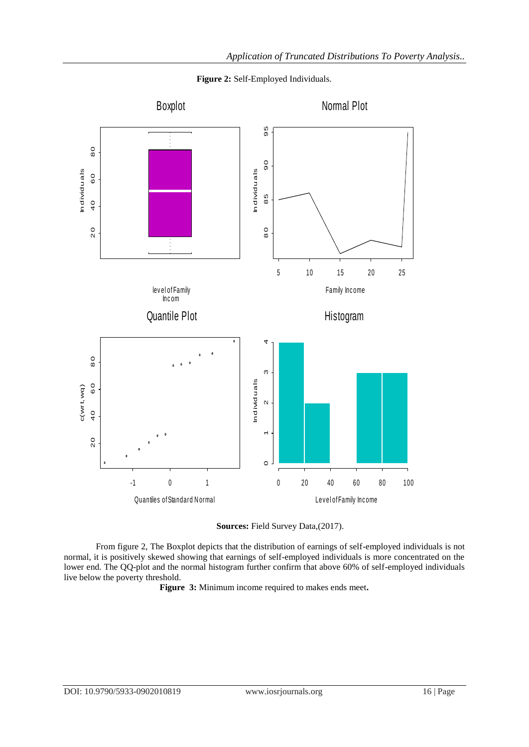

**Figure 2:** Self-Employed Individuals.



From figure 2, The Boxplot depicts that the distribution of earnings of self-employed individuals is not normal, it is positively skewed showing that earnings of self-employed individuals is more concentrated on the lower end. The QQ-plot and the normal histogram further confirm that above 60% of self-employed individuals live below the poverty threshold.

**Figure 3:** Minimum income required to makes ends meet**.**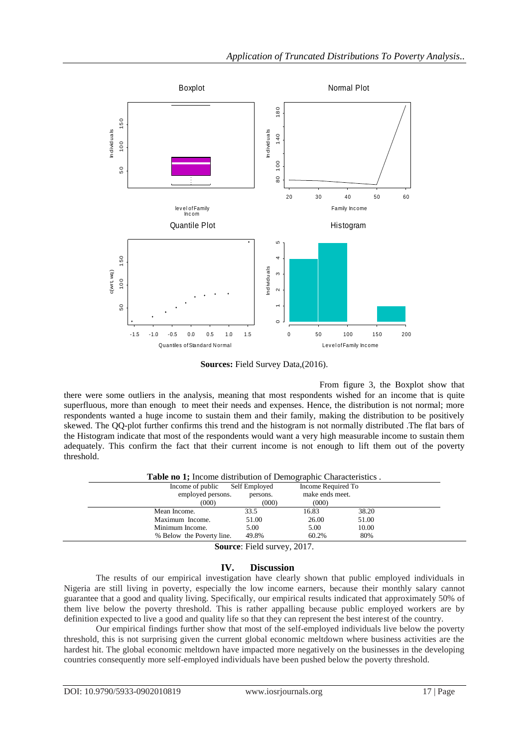

**Sources:** Field Survey Data,(2016).

From figure 3, the Boxplot show that there were some outliers in the analysis, meaning that most respondents wished for an income that is quite superfluous, more than enough to meet their needs and expenses. Hence, the distribution is not normal; more respondents wanted a huge income to sustain them and their family, making the distribution to be positively skewed. The QQ-plot further confirms this trend and the histogram is not normally distributed .The flat bars of the Histogram indicate that most of the respondents would want a very high measurable income to sustain them adequately. This confirm the fact that their current income is not enough to lift them out of the poverty threshold.

| <b>Table no 1;</b> Income distribution of Demographic Characteristics. |                                |                 |                    |  |
|------------------------------------------------------------------------|--------------------------------|-----------------|--------------------|--|
|                                                                        | Income of public Self Employed |                 | Income Required To |  |
| employed persons.                                                      | persons.                       | make ends meet. |                    |  |
| (000)                                                                  | (000)                          | (000)           |                    |  |
| Mean Income.                                                           | 33.5                           | 16.83           | 38.20              |  |
| Maximum Income.                                                        | 51.00                          | 26.00           | 51.00              |  |
| Minimum Income.                                                        | 5.00                           | 5.00            | 10.00              |  |
| % Below the Poverty line.                                              | 49.8%                          | 60.2%           | 80%                |  |
|                                                                        | $0 \sim 11$ $0.17$             |                 |                    |  |

**Source**: Field survey, 2017.

# **IV. Discussion**

The results of our empirical investigation have clearly shown that public employed individuals in Nigeria are still living in poverty, especially the low income earners, because their monthly salary cannot guarantee that a good and quality living. Specifically, our empirical results indicated that approximately 50% of them live below the poverty threshold. This is rather appalling because public employed workers are by definition expected to live a good and quality life so that they can represent the best interest of the country.

Our empirical findings further show that most of the self-employed individuals live below the poverty threshold, this is not surprising given the current global economic meltdown where business activities are the hardest hit. The global economic meltdown have impacted more negatively on the businesses in the developing countries consequently more self-employed individuals have been pushed below the poverty threshold.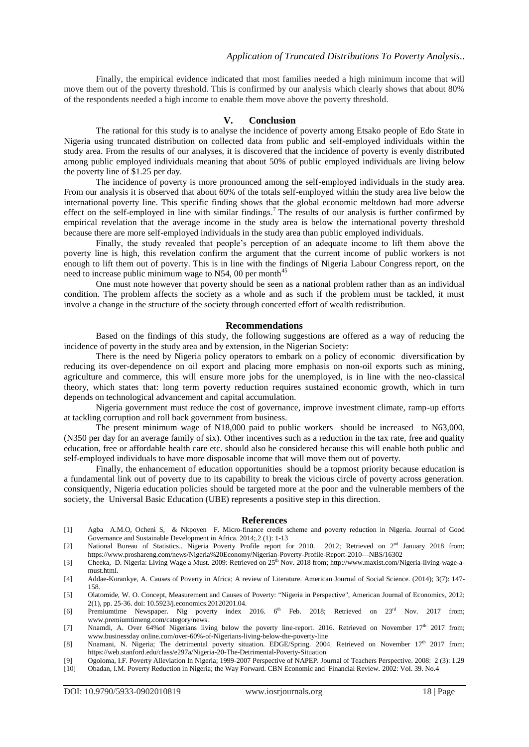Finally, the empirical evidence indicated that most families needed a high minimum income that will move them out of the poverty threshold. This is confirmed by our analysis which clearly shows that about 80% of the respondents needed a high income to enable them move above the poverty threshold.

#### **V. Conclusion**

The rational for this study is to analyse the incidence of poverty among Etsako people of Edo State in Nigeria using truncated distribution on collected data from public and self-employed individuals within the study area. From the results of our analyses, it is discovered that the incidence of poverty is evenly distributed among public employed individuals meaning that about 50% of public employed individuals are living below the poverty line of \$1.25 per day.

The incidence of poverty is more pronounced among the self-employed individuals in the study area. From our analysis it is observed that about 60% of the totals self-employed within the study area live below the international poverty line. This specific finding shows that the global economic meltdown had more adverse effect on the self-employed in line with similar findings.<sup>7</sup> The results of our analysis is further confirmed by empirical revelation that the average income in the study area is below the international poverty threshold because there are more self-employed individuals in the study area than public employed individuals.

Finally, the study revealed that people"s perception of an adequate income to lift them above the poverty line is high, this revelation confirm the argument that the current income of public workers is not enough to lift them out of poverty. This is in line with the findings of Nigeria Labour Congress report, on the need to increase public minimum wage to N54, 00 per month<sup>45</sup>

One must note however that poverty should be seen as a national problem rather than as an individual condition. The problem affects the society as a whole and as such if the problem must be tackled, it must involve a change in the structure of the society through concerted effort of wealth redistribution.

## **Recommendations**

Based on the findings of this study, the following suggestions are offered as a way of reducing the incidence of poverty in the study area and by extension, in the Nigerian Society:

There is the need by Nigeria policy operators to embark on a policy of economic diversification by reducing its over-dependence on oil export and placing more emphasis on non-oil exports such as mining, agriculture and commerce, this will ensure more jobs for the unemployed, is in line with the neo-classical theory, which states that: long term poverty reduction requires sustained economic growth, which in turn depends on technological advancement and capital accumulation.

Nigeria government must reduce the cost of governance, improve investment climate, ramp-up efforts at tackling corruption and roll back government from business.

The present minimum wage of N18,000 paid to public workers should be increased to N63,000, (N350 per day for an average family of six). Other incentives such as a reduction in the tax rate, free and quality education, free or affordable health care etc. should also be considered because this will enable both public and self-employed individuals to have more disposable income that will move them out of poverty.

Finally, the enhancement of education opportunities should be a topmost priority because education is a fundamental link out of poverty due to its capability to break the vicious circle of poverty across generation. consiquently, Nigeria education policies should be targeted more at the poor and the vulnerable members of the society, the Universal Basic Education (UBE) represents a positive step in this direction.

#### **References**

- [1] Agba A.M.O, Ocheni S, & Nkpoyen F. Micro-finance credit scheme and poverty reduction in Nigeria. Journal of Good Governance and Sustainable Development in Africa. 2014;.2 (1): 1-13
- [2] National Bureau of Statistics.. Nigeria Poverty Profile report for 2010. 2012; Retrieved on 2<sup>nd</sup> January 2018 from; https://www.proshareng.com/news/Nigeria%20Economy/Nigerian-Poverty-Profile-Report-2010---NBS/16302
- [3] Cheeka, D. Nigeria: Living Wage a Must. 2009: Retrieved on 25<sup>th</sup> Nov. 2018 from; http://www.maxist.com/Nigeria-living-wage-amust.html.
- [4] Addae-Korankye, A. Causes of Poverty in Africa; A review of Literature. American Journal of Social Science. (2014); 3(7): 147- 158.
- [5] Olatomide, W. O. Concept, Measurement and Causes of Poverty: "Nigeria in Perspective", American Journal of Economics, 2012; 2(1), pp. 25-36. doi: 10.5923/j.economics.20120201.04.
- [6] Premiumtime Newspaper. Nig poverty index 2016. 6<sup>th</sup> Feb. 2018; Retrieved on 23<sup>rd</sup> Nov. 2017 from; www.premiumtimeng.com/category/news.
- [7] Nnamdi, A. Over 64%of Nigerians living below the poverty line-report. 2016. Retrieved on November 17<sup>th</sup> 2017 from; www.businessday online.com/over-60%-of-Nigerians-living-below-the-poverty-line
- [8] Nnamani, N. Nigeria; The detrimental poverty situation. EDGE/Spring. 2004. Retrieved on November 17<sup>th</sup> 2017 from; https://web.stanford.edu/class/e297a/Nigeria-20-The-Detrimental-Poverty-Situation
- [9] Ogoloma, I.F. Poverty Alleviation In Nigeria; 1999-2007 Perspective of NAPEP. Journal of Teachers Perspective. 2008: 2 (3): 1.29
- [10] Obadan, I.M. Poverty Reduction in Nigeria; the Way Forward. CBN Economic and Financial Review. 2002: Vol. 39. No.4